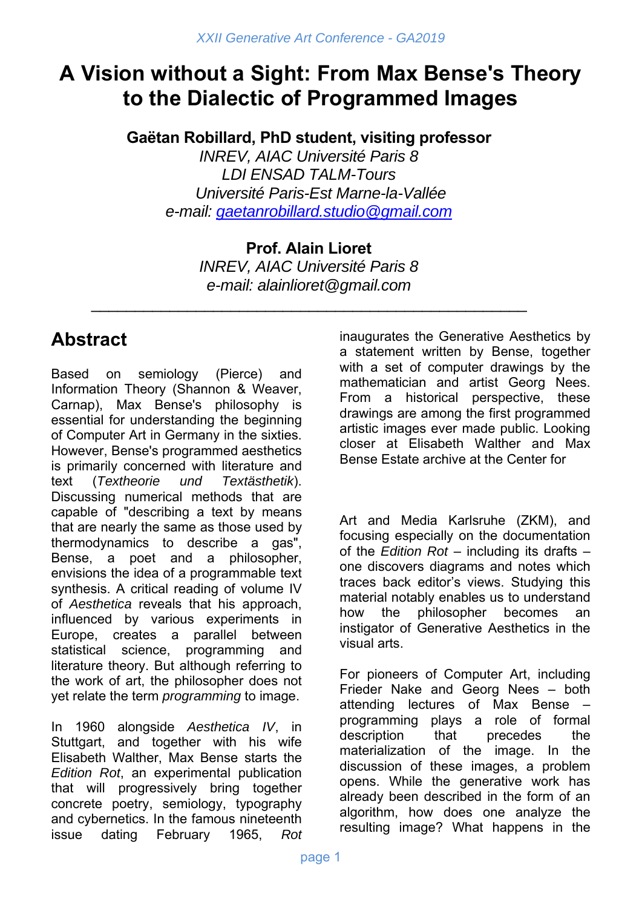# **A Vision without a Sight: From Max Bense's Theory to the Dialectic of Programmed Images**

**Gaëtan Robillard, PhD student, visiting professor** 

*INREV, AIAC Université Paris 8 LDI ENSAD TALM-Tours Université Paris-Est Marne-la-Vallée e-mail: gaetanrobillard.studio@gmail.com*

> **Prof. Alain Lioret**  *INREV, AIAC Université Paris 8 e-mail: alainlioret@gmail.com*

\_\_\_\_\_\_\_\_\_\_\_\_\_\_\_\_\_\_\_\_\_\_\_\_\_\_\_\_\_\_\_\_\_\_\_\_\_\_\_\_\_\_\_\_\_\_\_\_\_\_

# **Abstract**

Based on semiology (Pierce) and Information Theory (Shannon & Weaver, Carnap), Max Bense's philosophy is essential for understanding the beginning of Computer Art in Germany in the sixties. However, Bense's programmed aesthetics is primarily concerned with literature and text (*Textheorie und Textästhetik*). Discussing numerical methods that are capable of "describing a text by means that are nearly the same as those used by thermodynamics to describe a gas", Bense, a poet and a philosopher, envisions the idea of a programmable text synthesis. A critical reading of volume IV of *Aesthetica* reveals that his approach, influenced by various experiments in Europe, creates a parallel between statistical science, programming and literature theory. But although referring to the work of art, the philosopher does not yet relate the term *programming* to image.

In 1960 alongside *Aesthetica IV*, in Stuttgart, and together with his wife Elisabeth Walther, Max Bense starts the *Edition Rot*, an experimental publication that will progressively bring together concrete poetry, semiology, typography and cybernetics. In the famous nineteenth issue dating February 1965, *Rot* inaugurates the Generative Aesthetics by a statement written by Bense, together with a set of computer drawings by the mathematician and artist Georg Nees. From a historical perspective, these drawings are among the first programmed artistic images ever made public. Looking closer at Elisabeth Walther and Max Bense Estate archive at the Center for

Art and Media Karlsruhe (ZKM), and focusing especially on the documentation of the *Edition Rot* – including its drafts – one discovers diagrams and notes which traces back editor's views. Studying this material notably enables us to understand how the philosopher becomes an instigator of Generative Aesthetics in the visual arts.

For pioneers of Computer Art, including Frieder Nake and Georg Nees – both attending lectures of Max Bense – programming plays a role of formal description that precedes the materialization of the image. In the discussion of these images, a problem opens. While the generative work has already been described in the form of an algorithm, how does one analyze the resulting image? What happens in the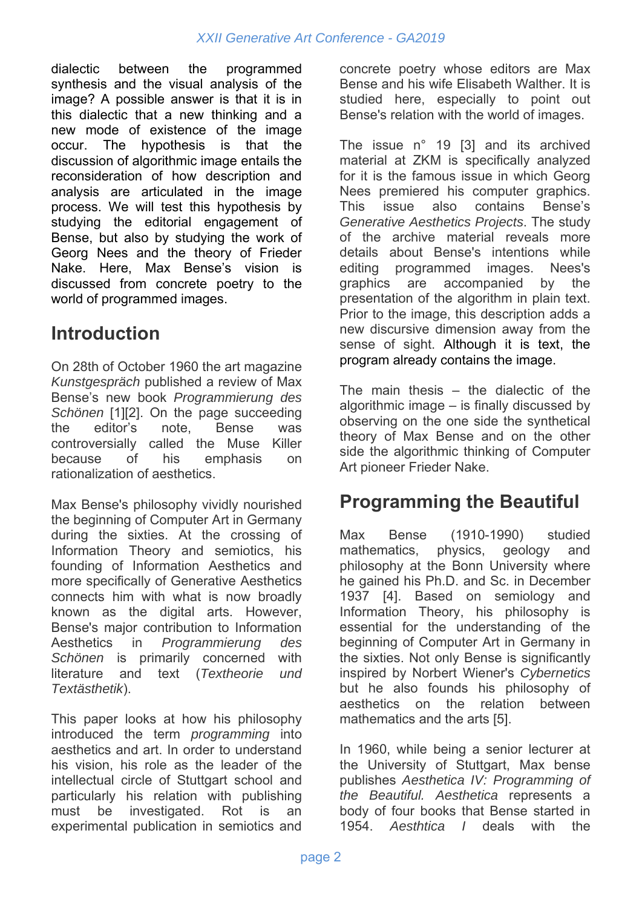dialectic between the programmed synthesis and the visual analysis of the image? A possible answer is that it is in this dialectic that a new thinking and a new mode of existence of the image occur. The hypothesis is that the discussion of algorithmic image entails the reconsideration of how description and analysis are articulated in the image process. We will test this hypothesis by studying the editorial engagement of Bense, but also by studying the work of Georg Nees and the theory of Frieder Nake. Here, Max Bense's vision is discussed from concrete poetry to the world of programmed images.

#### **Introduction**

On 28th of October 1960 the art magazine *Kunstgespräch* published a review of Max Bense's new book *Programmierung des Schönen* [1][2]. On the page succeeding the editor's note, Bense was controversially called the Muse Killer because of his emphasis on rationalization of aesthetics.

Max Bense's philosophy vividly nourished the beginning of Computer Art in Germany during the sixties. At the crossing of Information Theory and semiotics, his founding of Information Aesthetics and more specifically of Generative Aesthetics connects him with what is now broadly known as the digital arts. However, Bense's major contribution to Information Aesthetics in *Programmierung des Schönen* is primarily concerned with literature and text (*Textheorie und Textästhetik*).

This paper looks at how his philosophy introduced the term *programming* into aesthetics and art. In order to understand his vision, his role as the leader of the intellectual circle of Stuttgart school and particularly his relation with publishing must be investigated. Rot is an experimental publication in semiotics and

concrete poetry whose editors are Max Bense and his wife Elisabeth Walther. It is studied here, especially to point out Bense's relation with the world of images.

The issue n° 19 [3] and its archived material at ZKM is specifically analyzed for it is the famous issue in which Georg Nees premiered his computer graphics. This issue also contains Bense's *Generative Aesthetics Projects*. The study of the archive material reveals more details about Bense's intentions while editing programmed images. Nees's graphics are accompanied by the presentation of the algorithm in plain text. Prior to the image, this description adds a new discursive dimension away from the sense of sight. Although it is text, the program already contains the image.

The main thesis – the dialectic of the algorithmic image – is finally discussed by observing on the one side the synthetical theory of Max Bense and on the other side the algorithmic thinking of Computer Art pioneer Frieder Nake.

## **Programming the Beautiful**

Max Bense (1910-1990) studied mathematics, physics, geology and philosophy at the Bonn University where he gained his Ph.D. and Sc. in December 1937 [4]. Based on semiology and Information Theory, his philosophy is essential for the understanding of the beginning of Computer Art in Germany in the sixties. Not only Bense is significantly inspired by Norbert Wiener's *Cybernetics* but he also founds his philosophy of aesthetics on the relation between mathematics and the arts [5].

In 1960, while being a senior lecturer at the University of Stuttgart, Max bense publishes *Aesthetica IV: Programming of the Beautiful. Aesthetica* represents a body of four books that Bense started in 1954. *Aesthtica I* deals with the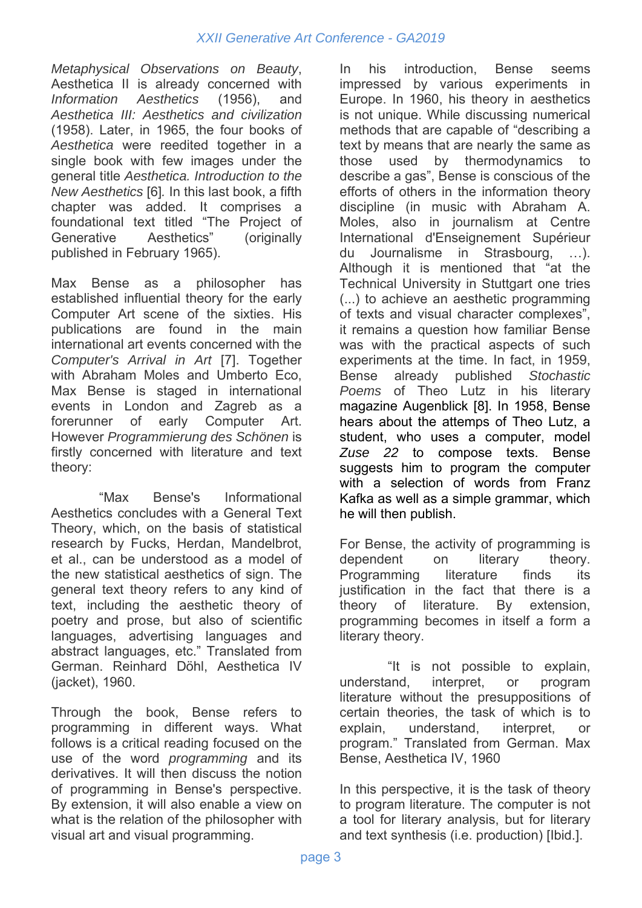*Metaphysical Observations on Beauty*, Aesthetica II is already concerned with *Information Aesthetics* (1956), and *Aesthetica III: Aesthetics and civilization*  (1958). Later, in 1965, the four books of *Aesthetica* were reedited together in a single book with few images under the general title *Aesthetica. Introduction to the New Aesthetics* [6]*.* In this last book, a fifth chapter was added. It comprises a foundational text titled "The Project of Generative Aesthetics" (originally published in February 1965).

Max Bense as a philosopher has established influential theory for the early Computer Art scene of the sixties. His publications are found in the main international art events concerned with the *Computer's Arrival in Art* [7]. Together with Abraham Moles and Umberto Eco, Max Bense is staged in international events in London and Zagreb as a forerunner of early Computer Art. However *Programmierung des Schönen* is firstly concerned with literature and text theory:

"Max Bense's Informational Aesthetics concludes with a General Text Theory, which, on the basis of statistical research by Fucks, Herdan, Mandelbrot, et al., can be understood as a model of the new statistical aesthetics of sign. The general text theory refers to any kind of text, including the aesthetic theory of poetry and prose, but also of scientific languages, advertising languages and abstract languages, etc." Translated from German. Reinhard Döhl, Aesthetica IV (jacket), 1960.

Through the book, Bense refers to programming in different ways. What follows is a critical reading focused on the use of the word *programming* and its derivatives. It will then discuss the notion of programming in Bense's perspective. By extension, it will also enable a view on what is the relation of the philosopher with visual art and visual programming.

In his introduction, Bense seems impressed by various experiments in Europe. In 1960, his theory in aesthetics is not unique. While discussing numerical methods that are capable of "describing a text by means that are nearly the same as those used by thermodynamics to describe a gas", Bense is conscious of the efforts of others in the information theory discipline (in music with Abraham A. Moles, also in journalism at Centre International d'Enseignement Supérieur du Journalisme in Strasbourg, …). Although it is mentioned that "at the Technical University in Stuttgart one tries (...) to achieve an aesthetic programming of texts and visual character complexes", it remains a question how familiar Bense was with the practical aspects of such experiments at the time. In fact, in 1959, Bense already published *Stochastic Poems* of Theo Lutz in his literary magazine Augenblick [8]. In 1958, Bense hears about the attemps of Theo Lutz, a student, who uses a computer, model *Zuse 22* to compose texts. Bense suggests him to program the computer with a selection of words from Franz Kafka as well as a simple grammar, which he will then publish.

For Bense, the activity of programming is dependent on literary theory. Programming literature finds its justification in the fact that there is a theory of literature. By extension, programming becomes in itself a form a literary theory.

"It is not possible to explain, understand, interpret, or program literature without the presuppositions of certain theories, the task of which is to explain, understand, interpret, or program." Translated from German. Max Bense, Aesthetica IV, 1960

In this perspective, it is the task of theory to program literature. The computer is not a tool for literary analysis, but for literary and text synthesis (i.e. production) [Ibid.].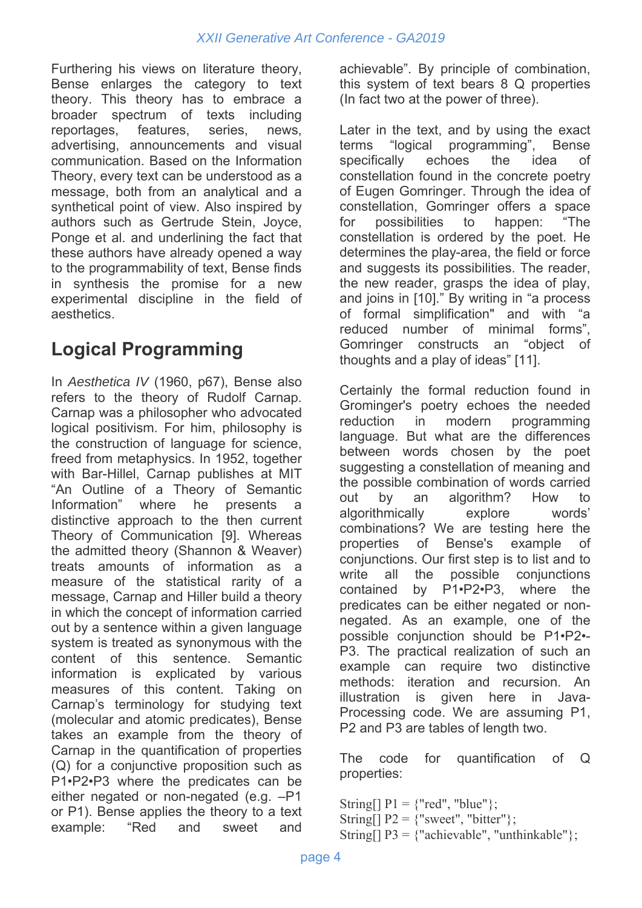Furthering his views on literature theory, Bense enlarges the category to text theory. This theory has to embrace a broader spectrum of texts including reportages, features, series, news, advertising, announcements and visual communication. Based on the Information Theory, every text can be understood as a message, both from an analytical and a synthetical point of view. Also inspired by authors such as Gertrude Stein, Joyce, Ponge et al. and underlining the fact that these authors have already opened a way to the programmability of text, Bense finds in synthesis the promise for a new experimental discipline in the field of aesthetics.

# **Logical Programming**

In *Aesthetica IV* (1960, p67), Bense also refers to the theory of Rudolf Carnap. Carnap was a philosopher who advocated logical positivism. For him, philosophy is the construction of language for science, freed from metaphysics. In 1952, together with Bar-Hillel, Carnap publishes at MIT "An Outline of a Theory of Semantic Information" where he presents a distinctive approach to the then current Theory of Communication [9]. Whereas the admitted theory (Shannon & Weaver) treats amounts of information as a measure of the statistical rarity of a message, Carnap and Hiller build a theory in which the concept of information carried out by a sentence within a given language system is treated as synonymous with the content of this sentence. Semantic information is explicated by various measures of this content. Taking on Carnap's terminology for studying text (molecular and atomic predicates), Bense takes an example from the theory of Carnap in the quantification of properties (Q) for a conjunctive proposition such as P1•P2•P3 where the predicates can be either negated or non-negated (e.g. –P1 or P1). Bense applies the theory to a text example: "Red and sweet and

achievable". By principle of combination, this system of text bears 8 Q properties (In fact two at the power of three).

Later in the text, and by using the exact terms "logical programming", Bense specifically echoes the idea of constellation found in the concrete poetry of Eugen Gomringer. Through the idea of constellation, Gomringer offers a space for possibilities to happen: "The constellation is ordered by the poet. He determines the play-area, the field or force and suggests its possibilities. The reader, the new reader, grasps the idea of play, and joins in [10]." By writing in "a process of formal simplification" and with "a reduced number of minimal forms", Gomringer constructs an "object of thoughts and a play of ideas" [11].

Certainly the formal reduction found in Grominger's poetry echoes the needed reduction in modern programming language. But what are the differences between words chosen by the poet suggesting a constellation of meaning and the possible combination of words carried out by an algorithm? How to algorithmically explore words' combinations? We are testing here the properties of Bense's example of conjunctions. Our first step is to list and to write all the possible conjunctions contained by P1•P2•P3, where the predicates can be either negated or nonnegated. As an example, one of the possible conjunction should be P1•P2•- P3. The practical realization of such an example can require two distinctive methods: iteration and recursion. An illustration is given here in Java-Processing code. We are assuming P1, P2 and P3 are tables of length two.

The code for quantification of Q properties:

- String $[$ ]  $P1 =$  {"red", "blue"};
- String[]  $P2 =$  {"sweet", "bitter"};
- String[]  $P3 = \{$ "achievable", "unthinkable" $\};$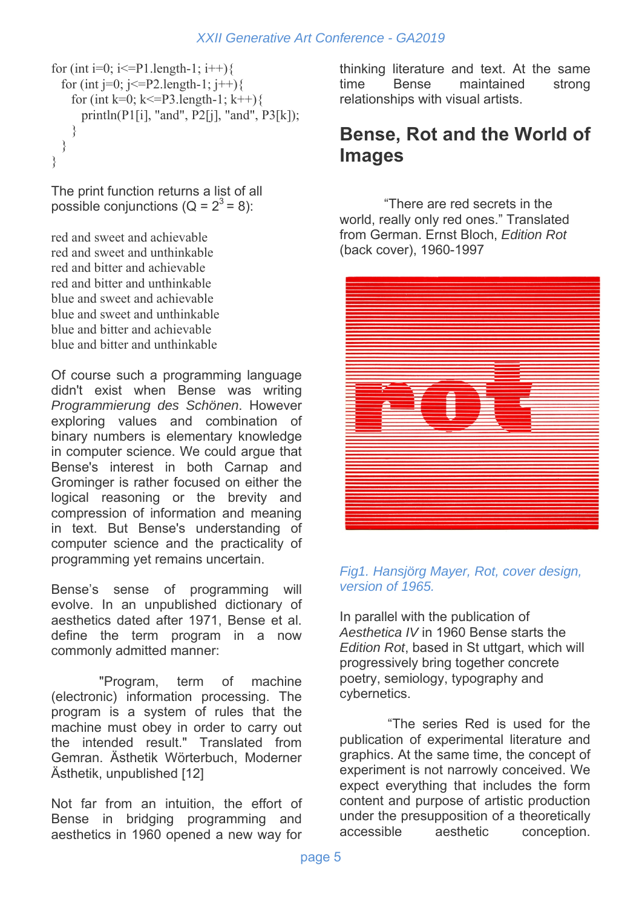```
for (int i=0; i \gamma = P 1.length-1; i + + ) {
  for (int j=0; j \ge = P2.length-1; j + + ) {
    for (int k=0; k <= P3.length-1; k++) {
       println(P1[i], "and", P2[j], "and", P3[k]); 
     } 
  } 
}
```
The print function returns a list of all possible conjunctions  $(Q = 2^3 = 8)$ :

red and sweet and achievable red and sweet and unthinkable red and bitter and achievable red and bitter and unthinkable blue and sweet and achievable blue and sweet and unthinkable blue and bitter and achievable blue and bitter and unthinkable

Of course such a programming language didn't exist when Bense was writing *Programmierung des Schönen*. However exploring values and combination of binary numbers is elementary knowledge in computer science. We could argue that Bense's interest in both Carnap and Grominger is rather focused on either the logical reasoning or the brevity and compression of information and meaning in text. But Bense's understanding of computer science and the practicality of programming yet remains uncertain.

Bense's sense of programming will evolve. In an unpublished dictionary of aesthetics dated after 1971, Bense et al. define the term program in a now commonly admitted manner:

"Program, term of machine (electronic) information processing. The program is a system of rules that the machine must obey in order to carry out the intended result." Translated from Gemran. Ästhetik Wörterbuch, Moderner Ästhetik, unpublished [12]

Not far from an intuition, the effort of Bense in bridging programming and aesthetics in 1960 opened a new way for thinking literature and text. At the same time Bense maintained strong relationships with visual artists.

#### **Bense, Rot and the World of Images**

 "There are red secrets in the world, really only red ones." Translated from German. Ernst Bloch, *Edition Rot* (back cover), 1960-1997



#### *Fig1. Hansjörg Mayer, Rot, cover design, version of 1965.*

In parallel with the publication of *Aesthetica IV* in 1960 Bense starts the *Edition Rot*, based in St uttgart, which will progressively bring together concrete poetry, semiology, typography and cybernetics.

 "The series Red is used for the publication of experimental literature and graphics. At the same time, the concept of experiment is not narrowly conceived. We expect everything that includes the form content and purpose of artistic production under the presupposition of a theoretically accessible aesthetic conception.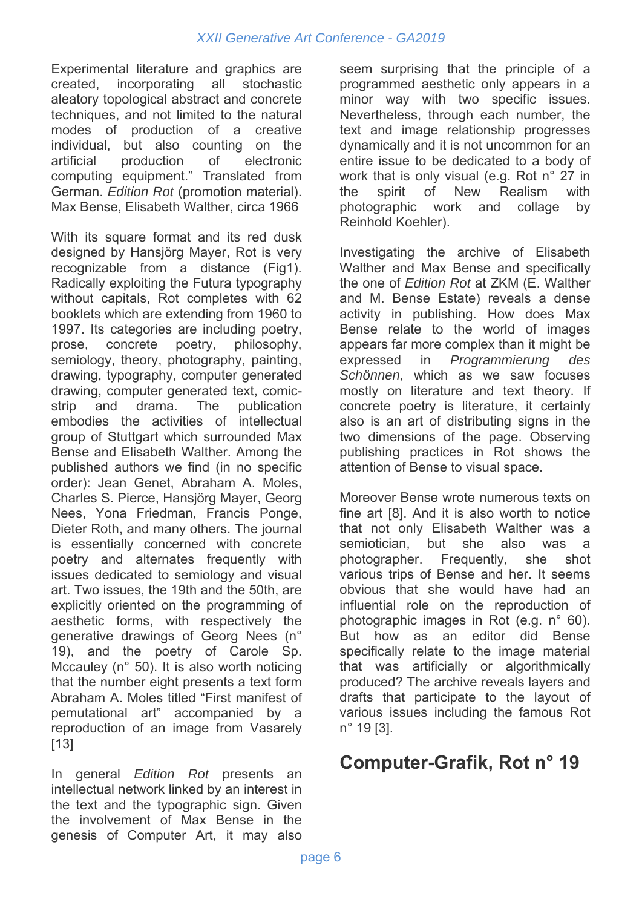Experimental literature and graphics are created, incorporating all stochastic aleatory topological abstract and concrete techniques, and not limited to the natural modes of production of a creative individual, but also counting on the artificial production of electronic computing equipment." Translated from German. *Edition Rot* (promotion material). Max Bense, Elisabeth Walther, circa 1966

With its square format and its red dusk designed by Hansjörg Mayer, Rot is very recognizable from a distance (Fig1). Radically exploiting the Futura typography without capitals, Rot completes with 62 booklets which are extending from 1960 to 1997. Its categories are including poetry, prose, concrete poetry, philosophy, semiology, theory, photography, painting, drawing, typography, computer generated drawing, computer generated text, comicstrip and drama. The publication embodies the activities of intellectual group of Stuttgart which surrounded Max Bense and Elisabeth Walther. Among the published authors we find (in no specific order): Jean Genet, Abraham A. Moles, Charles S. Pierce, Hansjörg Mayer, Georg Nees, Yona Friedman, Francis Ponge, Dieter Roth, and many others. The journal is essentially concerned with concrete poetry and alternates frequently with issues dedicated to semiology and visual art. Two issues, the 19th and the 50th, are explicitly oriented on the programming of aesthetic forms, with respectively the generative drawings of Georg Nees (n° 19), and the poetry of Carole Sp. Mccauley (n° 50). It is also worth noticing that the number eight presents a text form Abraham A. Moles titled "First manifest of pemutational art" accompanied by a reproduction of an image from Vasarely [13]

In general *Edition Rot* presents an intellectual network linked by an interest in the text and the typographic sign. Given the involvement of Max Bense in the genesis of Computer Art, it may also

seem surprising that the principle of a programmed aesthetic only appears in a minor way with two specific issues. Nevertheless, through each number, the text and image relationship progresses dynamically and it is not uncommon for an entire issue to be dedicated to a body of work that is only visual (e.g. Rot n° 27 in the spirit of New Realism with photographic work and collage by Reinhold Koehler).

Investigating the archive of Elisabeth Walther and Max Bense and specifically the one of *Edition Rot* at ZKM (E. Walther and M. Bense Estate) reveals a dense activity in publishing. How does Max Bense relate to the world of images appears far more complex than it might be expressed in *Programmierung des Schönnen*, which as we saw focuses mostly on literature and text theory. If concrete poetry is literature, it certainly also is an art of distributing signs in the two dimensions of the page. Observing publishing practices in Rot shows the attention of Bense to visual space.

Moreover Bense wrote numerous texts on fine art [8]. And it is also worth to notice that not only Elisabeth Walther was a semiotician, but she also was a photographer. Frequently, she shot various trips of Bense and her. It seems obvious that she would have had an influential role on the reproduction of photographic images in Rot (e.g. n° 60). But how as an editor did Bense specifically relate to the image material that was artificially or algorithmically produced? The archive reveals layers and drafts that participate to the layout of various issues including the famous Rot n° 19 [3].

## **Computer-Grafik, Rot n° 19**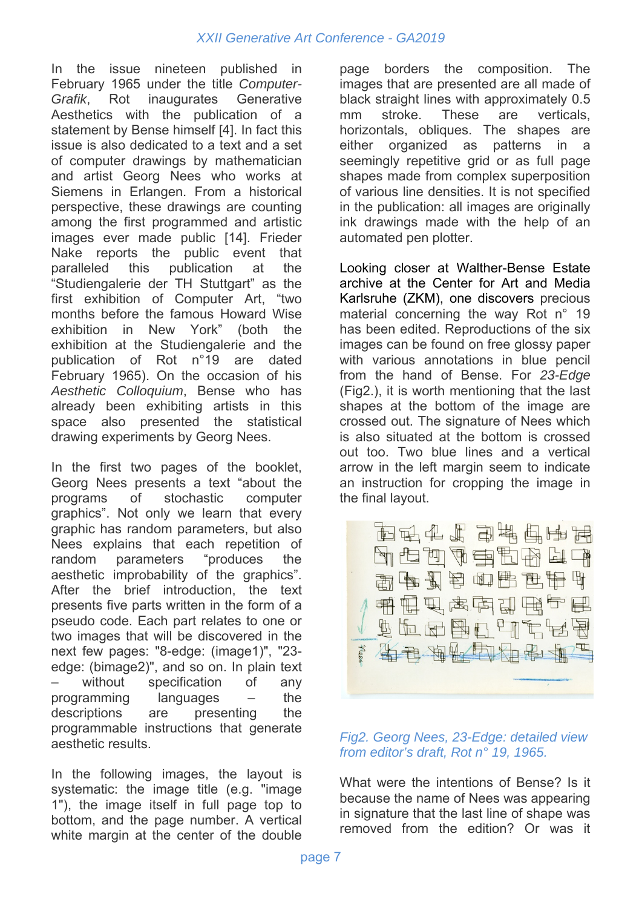In the issue nineteen published in February 1965 under the title *Computer-Grafik*, Rot inaugurates Generative Aesthetics with the publication of a statement by Bense himself [4]. In fact this issue is also dedicated to a text and a set of computer drawings by mathematician and artist Georg Nees who works at Siemens in Erlangen. From a historical perspective, these drawings are counting among the first programmed and artistic images ever made public [14]. Frieder Nake reports the public event that paralleled this publication at the "Studiengalerie der TH Stuttgart" as the first exhibition of Computer Art, "two months before the famous Howard Wise exhibition in New York" (both the exhibition at the Studiengalerie and the publication of Rot n°19 are dated February 1965). On the occasion of his *Aesthetic Colloquium*, Bense who has already been exhibiting artists in this space also presented the statistical drawing experiments by Georg Nees.

In the first two pages of the booklet, Georg Nees presents a text "about the programs of stochastic computer graphics". Not only we learn that every graphic has random parameters, but also Nees explains that each repetition of random parameters "produces the aesthetic improbability of the graphics". After the brief introduction, the text presents five parts written in the form of a pseudo code. Each part relates to one or two images that will be discovered in the next few pages: "8-edge: (image1)", "23 edge: (bimage2)", and so on. In plain text without specification of any programming languages – the descriptions are presenting the programmable instructions that generate aesthetic results.

In the following images, the layout is systematic: the image title (e.g. "image 1"), the image itself in full page top to bottom, and the page number. A vertical white margin at the center of the double page borders the composition. The images that are presented are all made of black straight lines with approximately 0.5 mm stroke. These are verticals, horizontals, obliques. The shapes are either organized as patterns in a seemingly repetitive grid or as full page shapes made from complex superposition of various line densities. It is not specified in the publication: all images are originally ink drawings made with the help of an automated pen plotter.

Looking closer at Walther-Bense Estate archive at the Center for Art and Media Karlsruhe (ZKM), one discovers precious material concerning the way Rot n° 19 has been edited. Reproductions of the six images can be found on free glossy paper with various annotations in blue pencil from the hand of Bense. For *23-Edge*  (Fig2.), it is worth mentioning that the last shapes at the bottom of the image are crossed out. The signature of Nees which is also situated at the bottom is crossed out too. Two blue lines and a vertical arrow in the left margin seem to indicate an instruction for cropping the image in the final layout.



#### *Fig2. Georg Nees, 23-Edge: detailed view from editor's draft, Rot n° 19, 1965.*

What were the intentions of Bense? Is it because the name of Nees was appearing in signature that the last line of shape was removed from the edition? Or was it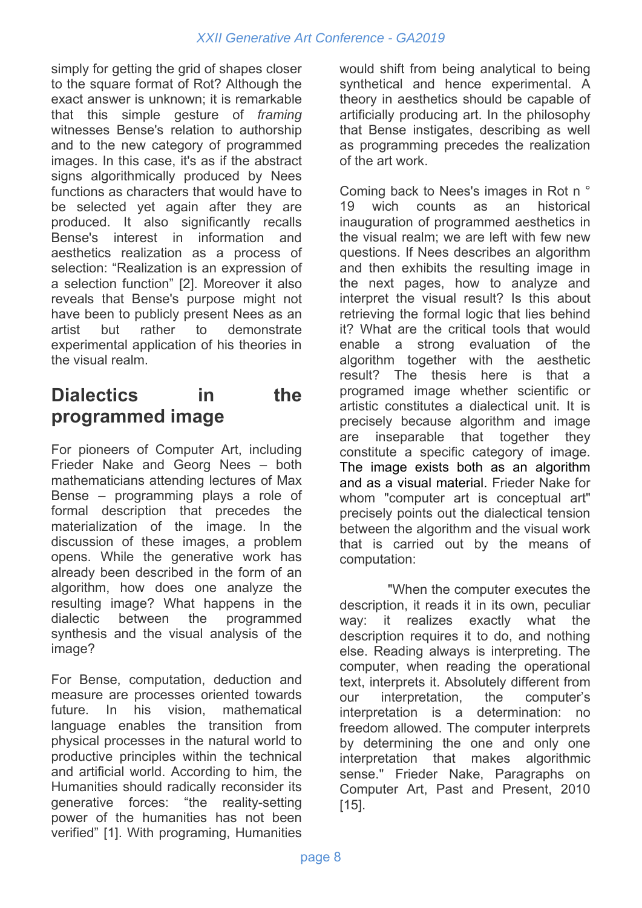simply for getting the grid of shapes closer to the square format of Rot? Although the exact answer is unknown; it is remarkable that this simple gesture of *framing* witnesses Bense's relation to authorship and to the new category of programmed images. In this case, it's as if the abstract signs algorithmically produced by Nees functions as characters that would have to be selected yet again after they are produced. It also significantly recalls Bense's interest in information and aesthetics realization as a process of selection: "Realization is an expression of a selection function" [2]. Moreover it also reveals that Bense's purpose might not have been to publicly present Nees as an artist but rather to demonstrate experimental application of his theories in the visual realm.

## **Dialectics in the programmed image**

For pioneers of Computer Art, including Frieder Nake and Georg Nees – both mathematicians attending lectures of Max Bense – programming plays a role of formal description that precedes the materialization of the image. In the discussion of these images, a problem opens. While the generative work has already been described in the form of an algorithm, how does one analyze the resulting image? What happens in the dialectic between the programmed synthesis and the visual analysis of the image?

For Bense, computation, deduction and measure are processes oriented towards future. In his vision, mathematical language enables the transition from physical processes in the natural world to productive principles within the technical and artificial world. According to him, the Humanities should radically reconsider its generative forces: "the reality-setting power of the humanities has not been verified" [1]. With programing, Humanities

would shift from being analytical to being synthetical and hence experimental. A theory in aesthetics should be capable of artificially producing art. In the philosophy that Bense instigates, describing as well as programming precedes the realization of the art work.

Coming back to Nees's images in Rot n ° 19 wich counts as an historical inauguration of programmed aesthetics in the visual realm; we are left with few new questions. If Nees describes an algorithm and then exhibits the resulting image in the next pages, how to analyze and interpret the visual result? Is this about retrieving the formal logic that lies behind it? What are the critical tools that would enable a strong evaluation of the algorithm together with the aesthetic result? The thesis here is that a programed image whether scientific or artistic constitutes a dialectical unit. It is precisely because algorithm and image are inseparable that together they constitute a specific category of image. The image exists both as an algorithm and as a visual material. Frieder Nake for whom "computer art is conceptual art" precisely points out the dialectical tension between the algorithm and the visual work that is carried out by the means of computation:

"When the computer executes the description, it reads it in its own, peculiar way: it realizes exactly what the description requires it to do, and nothing else. Reading always is interpreting. The computer, when reading the operational text, interprets it. Absolutely different from our interpretation, the computer's interpretation is a determination: no freedom allowed. The computer interprets by determining the one and only one interpretation that makes algorithmic sense." Frieder Nake, Paragraphs on Computer Art, Past and Present, 2010 [15].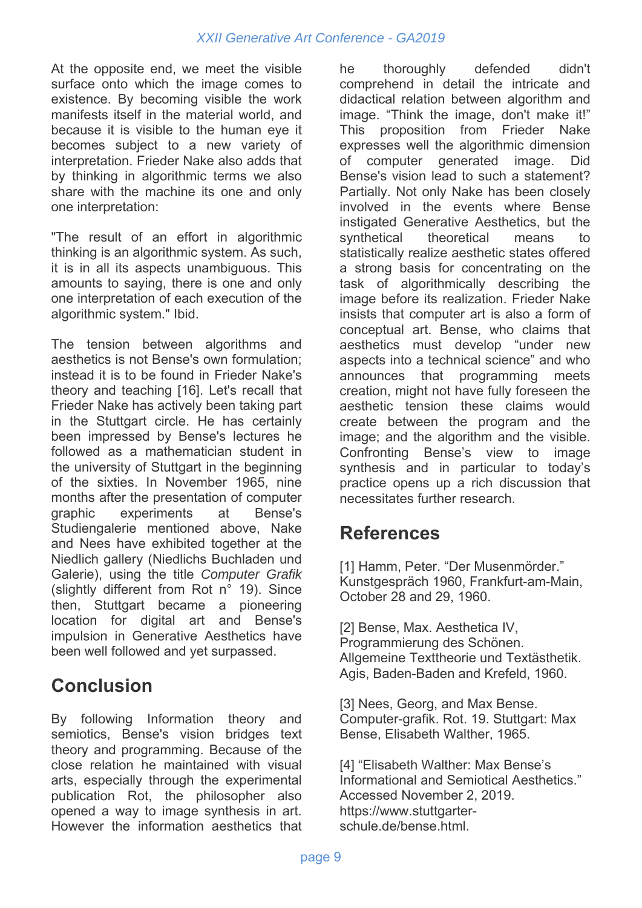At the opposite end, we meet the visible surface onto which the image comes to existence. By becoming visible the work manifests itself in the material world, and because it is visible to the human eye it becomes subject to a new variety of interpretation. Frieder Nake also adds that by thinking in algorithmic terms we also share with the machine its one and only one interpretation:

"The result of an effort in algorithmic thinking is an algorithmic system. As such, it is in all its aspects unambiguous. This amounts to saying, there is one and only one interpretation of each execution of the algorithmic system." Ibid.

The tension between algorithms and aesthetics is not Bense's own formulation; instead it is to be found in Frieder Nake's theory and teaching [16]. Let's recall that Frieder Nake has actively been taking part in the Stuttgart circle. He has certainly been impressed by Bense's lectures he followed as a mathematician student in the university of Stuttgart in the beginning of the sixties. In November 1965, nine months after the presentation of computer graphic experiments at Bense's Studiengalerie mentioned above, Nake and Nees have exhibited together at the Niedlich gallery (Niedlichs Buchladen und Galerie), using the title *Computer Grafik*  (slightly different from Rot n° 19). Since then, Stuttgart became a pioneering location for digital art and Bense's impulsion in Generative Aesthetics have been well followed and yet surpassed.

## **Conclusion**

By following Information theory and semiotics, Bense's vision bridges text theory and programming. Because of the close relation he maintained with visual arts, especially through the experimental publication Rot, the philosopher also opened a way to image synthesis in art. However the information aesthetics that he thoroughly defended didn't comprehend in detail the intricate and didactical relation between algorithm and image. "Think the image, don't make it!" This proposition from Frieder Nake expresses well the algorithmic dimension of computer generated image. Did Bense's vision lead to such a statement? Partially. Not only Nake has been closely involved in the events where Bense instigated Generative Aesthetics, but the synthetical theoretical means to statistically realize aesthetic states offered a strong basis for concentrating on the task of algorithmically describing the image before its realization. Frieder Nake insists that computer art is also a form of conceptual art. Bense, who claims that aesthetics must develop "under new aspects into a technical science" and who announces that programming meets creation, might not have fully foreseen the aesthetic tension these claims would create between the program and the image; and the algorithm and the visible. Confronting Bense's view to image synthesis and in particular to today's practice opens up a rich discussion that necessitates further research.

#### **References**

[1] Hamm, Peter. "Der Musenmörder." Kunstgespräch 1960, Frankfurt-am-Main, October 28 and 29, 1960.

[2] Bense, Max. Aesthetica IV, Programmierung des Schönen. Allgemeine Texttheorie und Textästhetik. Agis, Baden-Baden and Krefeld, 1960.

[3] Nees, Georg, and Max Bense. Computer-grafik. Rot. 19. Stuttgart: Max Bense, Elisabeth Walther, 1965.

[4] "Elisabeth Walther: Max Bense's Informational and Semiotical Aesthetics." Accessed November 2, 2019. https://www.stuttgarterschule.de/bense.html.